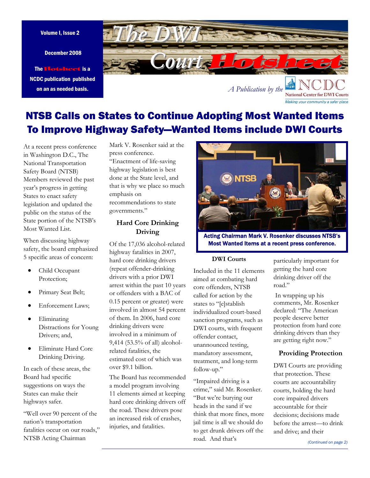December 2008

The Hotsheet is a NCDC publication published on an as needed basis.



NTSB Calls on States to Continue Adopting Most Wanted Items To Improve Highway Safety—Wanted Items include DWI Courts

At a recent press conference in Washington D.C., The National Transportation Safety Board (NTSB) Members reviewed the past year's progress in getting States to enact safety legislation and updated the public on the status of the State portion of the NTSB's Most Wanted List.

When discussing highway safety, the board emphasized 5 specific areas of concern:

- Child Occupant Protection;
- Primary Seat Belt;
- Enforcement Laws;
- Eliminating Distractions for Young Drivers; and,
- Eliminate Hard Core Drinking Driving.

In each of these areas, the Board had specific suggestions on ways the States can make their highways safer.

"Well over 90 percent of the nation's transportation fatalities occur on our roads," NTSB Acting Chairman

Mark V. Rosenker said at the press conference. "Enactment of life-saving

highway legislation is best done at the State level, and that is why we place so much emphasis on recommendations to state governments."

## **Hard Core Drinking Driving**

Of the 17,036 alcohol-related highway fatalities in 2007, hard core drinking drivers (repeat offender-drinking drivers with a prior DWI arrest within the past 10 years or offenders with a BAC of 0.15 percent or greater) were involved in almost 54 percent of them. In 2006, hard core drinking drivers were involved in a minimum of 9,414 (53.5% of all) alcoholrelated fatalities, the estimated cost of which was over \$9.1 billion.

The Board has recommended a model program involving 11 elements aimed at keeping hard core drinking drivers off the road. These drivers pose an increased risk of crashes, injuries, and fatalities.



Acting Chairman Mark V. Rosenker discusses NTSB's Most Wanted Items at a recent press conference.

## **DWI Courts**

Included in the 11 elements aimed at combating hard core offenders, NTSB called for action by the states to "[e]stablish individualized court-based sanction programs, such as DWI courts, with frequent offender contact, unannounced testing, mandatory assessment, treatment, and long-term follow-up."

"Impaired driving is a crime," said Mr. Rosenker. "But we're burying our heads in the sand if we think that more fines, more jail time is all we should do to get drunk drivers off the road. And that's

particularly important for getting the hard core drinking driver off the road."

Making your community a safer place

 In wrapping up his comments, Mr. Rosenker declared: "The American people deserve better protection from hard core drinking drivers than they are getting right now."

#### **Providing Protection**

DWI Courts are providing that protection. These courts are accountability courts, holding the hard core impaired drivers accountable for their decisions; decisions made before the arrest—to drink and drive; and their